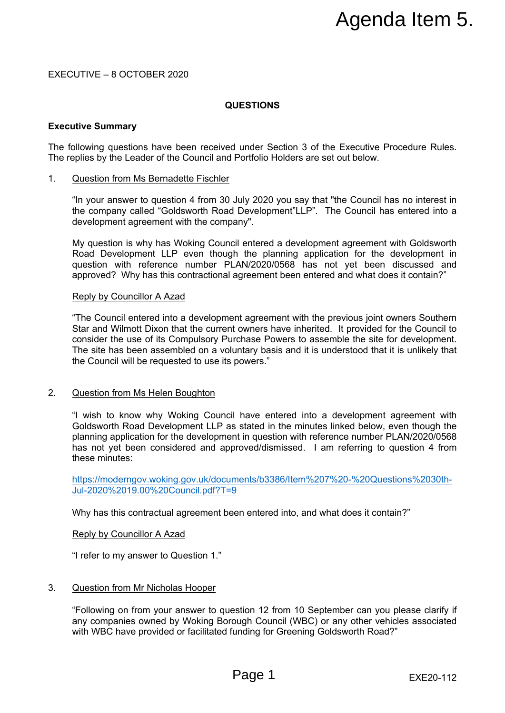# EXECUTIVE – 8 OCTOBER 2020

# **QUESTIONS**

# **Executive Summary**

The following questions have been received under Section 3 of the Executive Procedure Rules. The replies by the Leader of the Council and Portfolio Holders are set out below.

#### 1. Question from Ms Bernadette Fischler

"In your answer to question 4 from 30 July 2020 you say that "the Council has no interest in the company called "Goldsworth Road Development"LLP". The Council has entered into a development agreement with the company".

My question is why has Woking Council entered a development agreement with Goldsworth Road Development LLP even though the planning application for the development in question with reference number PLAN/2020/0568 has not yet been discussed and approved? Why has this contractional agreement been entered and what does it contain?"

#### Reply by Councillor A Azad

"The Council entered into a development agreement with the previous joint owners Southern Star and Wilmott Dixon that the current owners have inherited. It provided for the Council to consider the use of its Compulsory Purchase Powers to assemble the site for development. The site has been assembled on a voluntary basis and it is understood that it is unlikely that the Council will be requested to use its powers."

#### 2. Question from Ms Helen Boughton

"I wish to know why Woking Council have entered into a development agreement with Goldsworth Road Development LLP as stated in the minutes linked below, even though the planning application for the development in question with reference number PLAN/2020/0568 has not yet been considered and approved/dismissed. I am referring to question 4 from these minutes: **Example 16 Agency Agency Agency Control Control CEO CONDOM SUMMON DRAGUAR SUMMON SUMMON SUMMON SUMMON SUMMON SUMMON SUMMON SUMMON SUMMON SUMMON SUMMON SUMMON SUMMON SUMMON SUMMON SUMMON SUMMON SUMMON SUMMON SUMMON SUMMON** 

[https://moderngov.woking.gov.uk/documents/b3386/Item%207%20-%20Questions%2030th-](https://moderngov.woking.gov.uk/documents/b3386/Item%207%20-%20Questions%2030th-Jul-2020%2019.00%20Council.pdf?T=9)[Jul-2020%2019.00%20Council.pdf?T=9](https://moderngov.woking.gov.uk/documents/b3386/Item%207%20-%20Questions%2030th-Jul-2020%2019.00%20Council.pdf?T=9)

Why has this contractual agreement been entered into, and what does it contain?"

#### Reply by Councillor A Azad

"I refer to my answer to Question 1."

# 3. Question from Mr Nicholas Hooper

"Following on from your answer to question 12 from 10 September can you please clarify if any companies owned by Woking Borough Council (WBC) or any other vehicles associated with WBC have provided or facilitated funding for Greening Goldsworth Road?"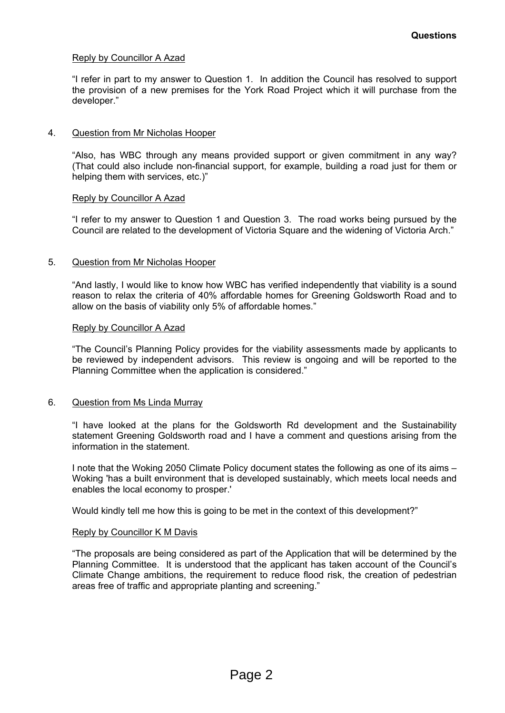# Reply by Councillor A Azad

"I refer in part to my answer to Question 1. In addition the Council has resolved to support the provision of a new premises for the York Road Project which it will purchase from the developer."

#### 4. Question from Mr Nicholas Hooper

"Also, has WBC through any means provided support or given commitment in any way? (That could also include non-financial support, for example, building a road just for them or helping them with services, etc.)"

#### Reply by Councillor A Azad

"I refer to my answer to Question 1 and Question 3. The road works being pursued by the Council are related to the development of Victoria Square and the widening of Victoria Arch."

#### 5. Question from Mr Nicholas Hooper

"And lastly, I would like to know how WBC has verified independently that viability is a sound reason to relax the criteria of 40% affordable homes for Greening Goldsworth Road and to allow on the basis of viability only 5% of affordable homes."

#### Reply by Councillor A Azad

"The Council's Planning Policy provides for the viability assessments made by applicants to be reviewed by independent advisors. This review is ongoing and will be reported to the Planning Committee when the application is considered."

#### 6. Question from Ms Linda Murray

"I have looked at the plans for the Goldsworth Rd development and the Sustainability statement Greening Goldsworth road and I have a comment and questions arising from the information in the statement.

I note that the Woking 2050 Climate Policy document states the following as one of its aims – Woking 'has a built environment that is developed sustainably, which meets local needs and enables the local economy to prosper.'

Would kindly tell me how this is going to be met in the context of this development?"

#### Reply by Councillor K M Davis

"The proposals are being considered as part of the Application that will be determined by the Planning Committee. It is understood that the applicant has taken account of the Council's Climate Change ambitions, the requirement to reduce flood risk, the creation of pedestrian areas free of traffic and appropriate planting and screening."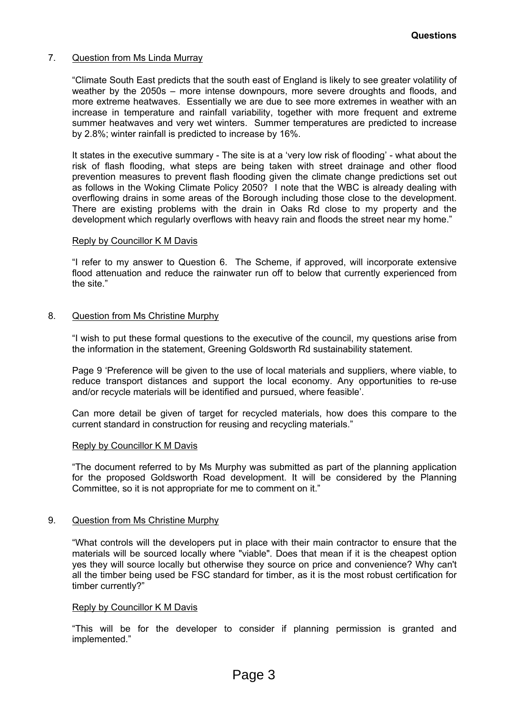# 7. Question from Ms Linda Murray

"Climate South East predicts that the south east of England is likely to see greater volatility of weather by the 2050s – more intense downpours, more severe droughts and floods, and more extreme heatwaves. Essentially we are due to see more extremes in weather with an increase in temperature and rainfall variability, together with more frequent and extreme summer heatwaves and very wet winters. Summer temperatures are predicted to increase by 2.8%; winter rainfall is predicted to increase by 16%.

It states in the executive summary - The site is at a 'very low risk of flooding' - what about the risk of flash flooding, what steps are being taken with street drainage and other flood prevention measures to prevent flash flooding given the climate change predictions set out as follows in the Woking Climate Policy 2050? I note that the WBC is already dealing with overflowing drains in some areas of the Borough including those close to the development. There are existing problems with the drain in Oaks Rd close to my property and the development which regularly overflows with heavy rain and floods the street near my home."

#### Reply by Councillor K M Davis

"I refer to my answer to Question 6. The Scheme, if approved, will incorporate extensive flood attenuation and reduce the rainwater run off to below that currently experienced from the site."

#### 8. Question from Ms Christine Murphy

"I wish to put these formal questions to the executive of the council, my questions arise from the information in the statement, Greening Goldsworth Rd sustainability statement.

Page 9 'Preference will be given to the use of local materials and suppliers, where viable, to reduce transport distances and support the local economy. Any opportunities to re-use and/or recycle materials will be identified and pursued, where feasible'.

Can more detail be given of target for recycled materials, how does this compare to the current standard in construction for reusing and recycling materials."

#### Reply by Councillor K M Davis

"The document referred to by Ms Murphy was submitted as part of the planning application for the proposed Goldsworth Road development. It will be considered by the Planning Committee, so it is not appropriate for me to comment on it."

#### 9. Question from Ms Christine Murphy

"What controls will the developers put in place with their main contractor to ensure that the materials will be sourced locally where "viable". Does that mean if it is the cheapest option yes they will source locally but otherwise they source on price and convenience? Why can't all the timber being used be FSC standard for timber, as it is the most robust certification for timber currently?"

#### Reply by Councillor K M Davis

"This will be for the developer to consider if planning permission is granted and implemented."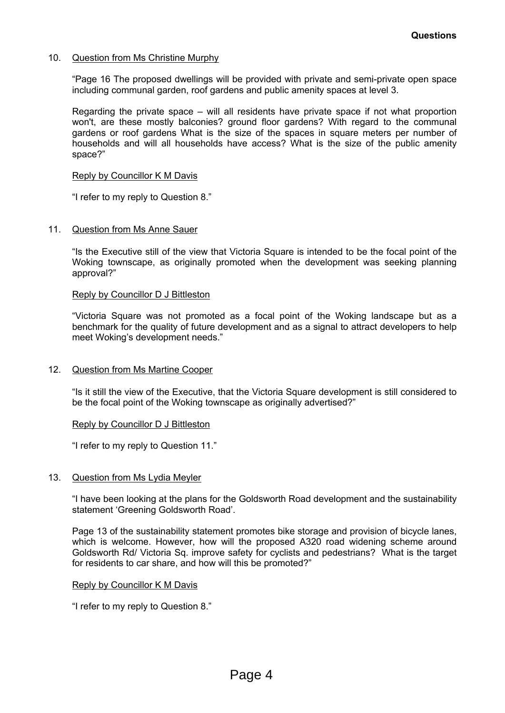# 10. Question from Ms Christine Murphy

"Page 16 The proposed dwellings will be provided with private and semi-private open space including communal garden, roof gardens and public amenity spaces at level 3.

Regarding the private space – will all residents have private space if not what proportion won't, are these mostly balconies? ground floor gardens? With regard to the communal gardens or roof gardens What is the size of the spaces in square meters per number of households and will all households have access? What is the size of the public amenity space?"

#### Reply by Councillor K M Davis

"I refer to my reply to Question 8."

#### 11. Question from Ms Anne Sauer

"Is the Executive still of the view that Victoria Square is intended to be the focal point of the Woking townscape, as originally promoted when the development was seeking planning approval?"

#### Reply by Councillor D J Bittleston

"Victoria Square was not promoted as a focal point of the Woking landscape but as a benchmark for the quality of future development and as a signal to attract developers to help meet Woking's development needs."

# 12. Question from Ms Martine Cooper

"Is it still the view of the Executive, that the Victoria Square development is still considered to be the focal point of the Woking townscape as originally advertised?"

#### Reply by Councillor D J Bittleston

"I refer to my reply to Question 11."

#### 13. Question from Ms Lydia Meyler

"I have been looking at the plans for the Goldsworth Road development and the sustainability statement 'Greening Goldsworth Road'.

Page 13 of the sustainability statement promotes bike storage and provision of bicycle lanes, which is welcome. However, how will the proposed A320 road widening scheme around Goldsworth Rd/ Victoria Sq. improve safety for cyclists and pedestrians? What is the target for residents to car share, and how will this be promoted?"

#### Reply by Councillor K M Davis

"I refer to my reply to Question 8."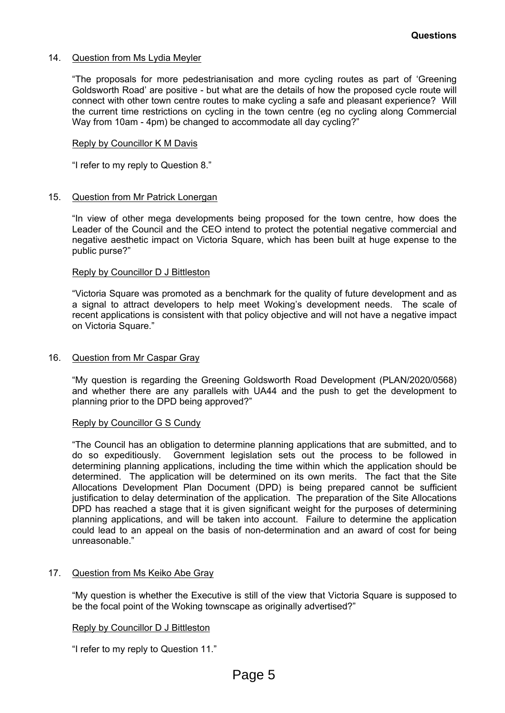# 14. Question from Ms Lydia Meyler

"The proposals for more pedestrianisation and more cycling routes as part of 'Greening Goldsworth Road' are positive - but what are the details of how the proposed cycle route will connect with other town centre routes to make cycling a safe and pleasant experience? Will the current time restrictions on cycling in the town centre (eg no cycling along Commercial Way from 10am - 4pm) be changed to accommodate all day cycling?"

# Reply by Councillor K M Davis

"I refer to my reply to Question 8."

# 15. Question from Mr Patrick Lonergan

"In view of other mega developments being proposed for the town centre, how does the Leader of the Council and the CEO intend to protect the potential negative commercial and negative aesthetic impact on Victoria Square, which has been built at huge expense to the public purse?"

# Reply by Councillor D J Bittleston

"Victoria Square was promoted as a benchmark for the quality of future development and as a signal to attract developers to help meet Woking's development needs. The scale of recent applications is consistent with that policy objective and will not have a negative impact on Victoria Square."

#### 16. Question from Mr Caspar Gray

"My question is regarding the Greening Goldsworth Road Development (PLAN/2020/0568) and whether there are any parallels with UA44 and the push to get the development to planning prior to the DPD being approved?"

#### Reply by Councillor G S Cundy

"The Council has an obligation to determine planning applications that are submitted, and to do so expeditiously. Government legislation sets out the process to be followed in determining planning applications, including the time within which the application should be determined. The application will be determined on its own merits. The fact that the Site Allocations Development Plan Document (DPD) is being prepared cannot be sufficient justification to delay determination of the application. The preparation of the Site Allocations DPD has reached a stage that it is given significant weight for the purposes of determining planning applications, and will be taken into account. Failure to determine the application could lead to an appeal on the basis of non-determination and an award of cost for being unreasonable."

#### 17. Question from Ms Keiko Abe Gray

"My question is whether the Executive is still of the view that Victoria Square is supposed to be the focal point of the Woking townscape as originally advertised?"

#### Reply by Councillor D J Bittleston

"I refer to my reply to Question 11."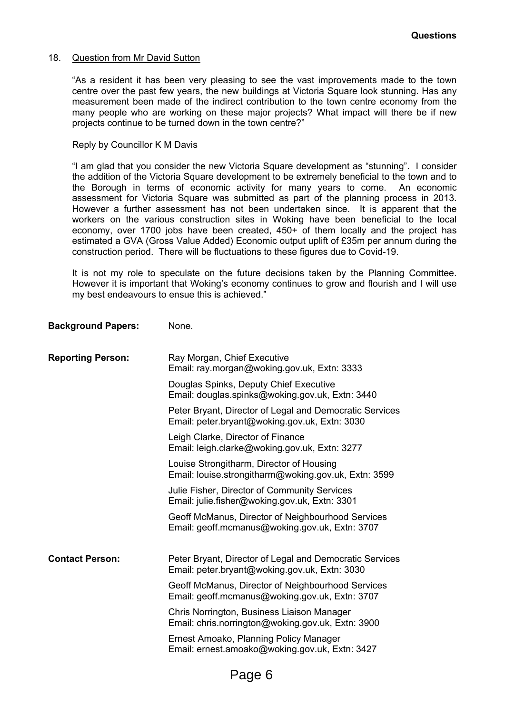# 18. Question from Mr David Sutton

"As a resident it has been very pleasing to see the vast improvements made to the town centre over the past few years, the new buildings at Victoria Square look stunning. Has any measurement been made of the indirect contribution to the town centre economy from the many people who are working on these major projects? What impact will there be if new projects continue to be turned down in the town centre?"

#### Reply by Councillor K M Davis

"I am glad that you consider the new Victoria Square development as "stunning". I consider the addition of the Victoria Square development to be extremely beneficial to the town and to the Borough in terms of economic activity for many years to come. An economic assessment for Victoria Square was submitted as part of the planning process in 2013. However a further assessment has not been undertaken since. It is apparent that the workers on the various construction sites in Woking have been beneficial to the local economy, over 1700 jobs have been created, 450+ of them locally and the project has estimated a GVA (Gross Value Added) Economic output uplift of £35m per annum during the construction period. There will be fluctuations to these figures due to Covid-19.

It is not my role to speculate on the future decisions taken by the Planning Committee. However it is important that Woking's economy continues to grow and flourish and I will use my best endeavours to ensue this is achieved."

| <b>Background Papers:</b> | None.                                                                                                    |
|---------------------------|----------------------------------------------------------------------------------------------------------|
| <b>Reporting Person:</b>  | Ray Morgan, Chief Executive<br>Email: ray.morgan@woking.gov.uk, Extn: 3333                               |
|                           | Douglas Spinks, Deputy Chief Executive<br>Email: douglas.spinks@woking.gov.uk, Extn: 3440                |
|                           | Peter Bryant, Director of Legal and Democratic Services<br>Email: peter.bryant@woking.gov.uk, Extn: 3030 |
|                           | Leigh Clarke, Director of Finance<br>Email: leigh.clarke@woking.gov.uk, Extn: 3277                       |
|                           | Louise Strongitharm, Director of Housing<br>Email: louise.strongitharm@woking.gov.uk, Extn: 3599         |
|                           | Julie Fisher, Director of Community Services<br>Email: julie.fisher@woking.gov.uk, Extn: 3301            |
|                           | Geoff McManus, Director of Neighbourhood Services<br>Email: geoff.mcmanus@woking.gov.uk, Extn: 3707      |
| <b>Contact Person:</b>    | Peter Bryant, Director of Legal and Democratic Services<br>Email: peter.bryant@woking.gov.uk, Extn: 3030 |
|                           | Geoff McManus, Director of Neighbourhood Services<br>Email: geoff.mcmanus@woking.gov.uk, Extn: 3707      |
|                           | Chris Norrington, Business Liaison Manager<br>Email: chris.norrington@woking.gov.uk, Extn: 3900          |
|                           | Ernest Amoako, Planning Policy Manager<br>Email: ernest.amoako@woking.gov.uk, Extn: 3427                 |
|                           |                                                                                                          |

# Page 6